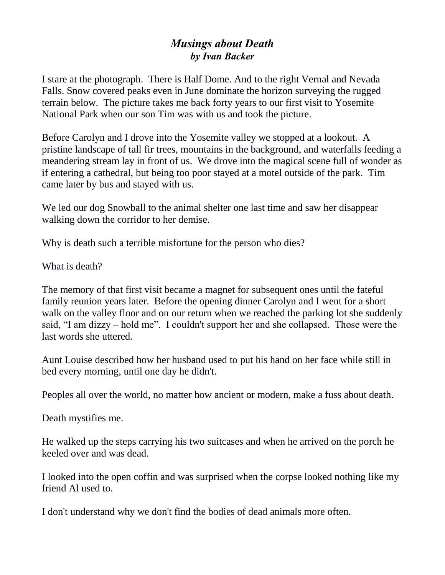## *Musings about Death by Ivan Backer*

I stare at the photograph. There is Half Dome. And to the right Vernal and Nevada Falls. Snow covered peaks even in June dominate the horizon surveying the rugged terrain below. The picture takes me back forty years to our first visit to Yosemite National Park when our son Tim was with us and took the picture.

Before Carolyn and I drove into the Yosemite valley we stopped at a lookout. A pristine landscape of tall fir trees, mountains in the background, and waterfalls feeding a meandering stream lay in front of us. We drove into the magical scene full of wonder as if entering a cathedral, but being too poor stayed at a motel outside of the park. Tim came later by bus and stayed with us.

We led our dog Snowball to the animal shelter one last time and saw her disappear walking down the corridor to her demise.

Why is death such a terrible misfortune for the person who dies?

What is death?

The memory of that first visit became a magnet for subsequent ones until the fateful family reunion years later. Before the opening dinner Carolyn and I went for a short walk on the valley floor and on our return when we reached the parking lot she suddenly said, "I am dizzy – hold me". I couldn't support her and she collapsed. Those were the last words she uttered.

Aunt Louise described how her husband used to put his hand on her face while still in bed every morning, until one day he didn't.

Peoples all over the world, no matter how ancient or modern, make a fuss about death.

Death mystifies me.

He walked up the steps carrying his two suitcases and when he arrived on the porch he keeled over and was dead.

I looked into the open coffin and was surprised when the corpse looked nothing like my friend Al used to.

I don't understand why we don't find the bodies of dead animals more often.